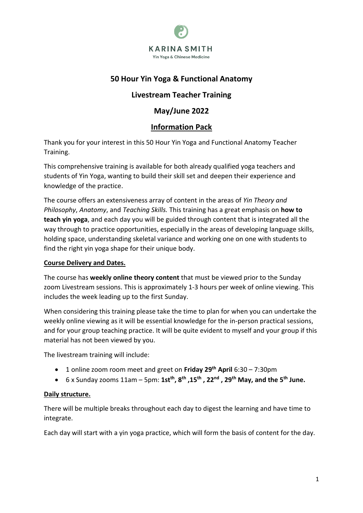

# **50 Hour Yin Yoga & Functional Anatomy**

# **Livestream Teacher Training**

# **May/June 2022**

# **Information Pack**

Thank you for your interest in this 50 Hour Yin Yoga and Functional Anatomy Teacher Training.

This comprehensive training is available for both already qualified yoga teachers and students of Yin Yoga, wanting to build their skill set and deepen their experience and knowledge of the practice.

The course offers an extensiveness array of content in the areas of *Yin Theory and Philosophy*, *Anatomy*, and *Teaching Skills.* This training has a great emphasis on **how to teach yin yoga**, and each day you will be guided through content that is integrated all the way through to practice opportunities, especially in the areas of developing language skills, holding space, understanding skeletal variance and working one on one with students to find the right yin yoga shape for their unique body.

## **Course Delivery and Dates.**

The course has **weekly online theory content** that must be viewed prior to the Sunday zoom Livestream sessions. This is approximately 1-3 hours per week of online viewing. This includes the week leading up to the first Sunday.

When considering this training please take the time to plan for when you can undertake the weekly online viewing as it will be essential knowledge for the in-person practical sessions, and for your group teaching practice. It will be quite evident to myself and your group if this material has not been viewed by you.

The livestream training will include:

- 1 online zoom room meet and greet on **Friday 29th April** 6:30 7:30pm
- 6 x Sunday zooms 11am 5pm: **1stth , 8 th ,15th , 22nd , 29th May, and the 5th June.**

## **Daily structure.**

There will be multiple breaks throughout each day to digest the learning and have time to integrate.

Each day will start with a yin yoga practice, which will form the basis of content for the day.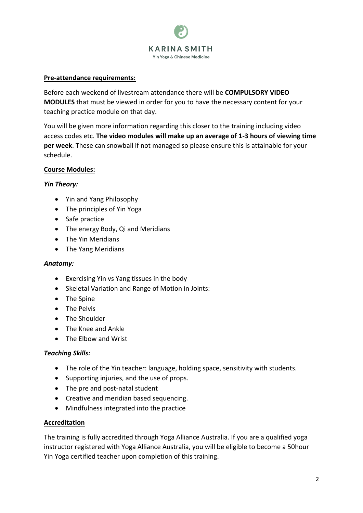

#### **Pre-attendance requirements:**

Before each weekend of livestream attendance there will be **COMPULSORY VIDEO MODULES** that must be viewed in order for you to have the necessary content for your teaching practice module on that day.

You will be given more information regarding this closer to the training including video access codes etc. **The video modules will make up an average of 1-3 hours of viewing time per week**. These can snowball if not managed so please ensure this is attainable for your schedule.

#### **Course Modules:**

#### *Yin Theory:*

- Yin and Yang Philosophy
- The principles of Yin Yoga
- Safe practice
- The energy Body, Qi and Meridians
- The Yin Meridians
- The Yang Meridians

#### *Anatomy:*

- Exercising Yin vs Yang tissues in the body
- Skeletal Variation and Range of Motion in Joints:
- The Spine
- The Pelvis
- The Shoulder
- The Knee and Ankle
- The Elbow and Wrist

#### *Teaching Skills:*

- The role of the Yin teacher: language, holding space, sensitivity with students.
- Supporting injuries, and the use of props.
- The pre and post-natal student
- Creative and meridian based sequencing.
- Mindfulness integrated into the practice

#### **Accreditation**

The training is fully accredited through Yoga Alliance Australia. If you are a qualified yoga instructor registered with Yoga Alliance Australia, you will be eligible to become a 50hour Yin Yoga certified teacher upon completion of this training.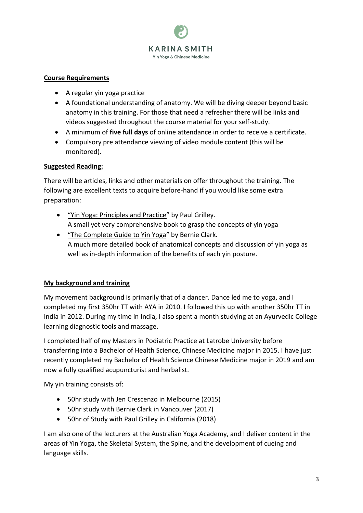

#### **Course Requirements**

- A regular yin yoga practice
- A foundational understanding of anatomy. We will be diving deeper beyond basic anatomy in this training. For those that need a refresher there will be links and videos suggested throughout the course material for your self-study.
- A minimum of **five full days** of online attendance in order to receive a certificate.
- Compulsory pre attendance viewing of video module content (this will be monitored).

## **Suggested Reading:**

There will be articles, links and other materials on offer throughout the training. The following are excellent texts to acquire before-hand if you would like some extra preparation:

- "Yin Yoga: Principles and Practice" by Paul Grilley. A small yet very comprehensive book to grasp the concepts of yin yoga
- "The Complete Guide to Yin Yoga" by Bernie Clark. A much more detailed book of anatomical concepts and discussion of yin yoga as well as in-depth information of the benefits of each yin posture.

## **My background and training**

My movement background is primarily that of a dancer. Dance led me to yoga, and I completed my first 350hr TT with AYA in 2010. I followed this up with another 350hr TT in India in 2012. During my time in India, I also spent a month studying at an Ayurvedic College learning diagnostic tools and massage.

I completed half of my Masters in Podiatric Practice at Latrobe University before transferring into a Bachelor of Health Science, Chinese Medicine major in 2015. I have just recently completed my Bachelor of Health Science Chinese Medicine major in 2019 and am now a fully qualified acupuncturist and herbalist.

My yin training consists of:

- 50hr study with Jen Crescenzo in Melbourne (2015)
- 50hr study with Bernie Clark in Vancouver (2017)
- 50hr of Study with Paul Grilley in California (2018)

I am also one of the lecturers at the Australian Yoga Academy, and I deliver content in the areas of Yin Yoga, the Skeletal System, the Spine, and the development of cueing and language skills.